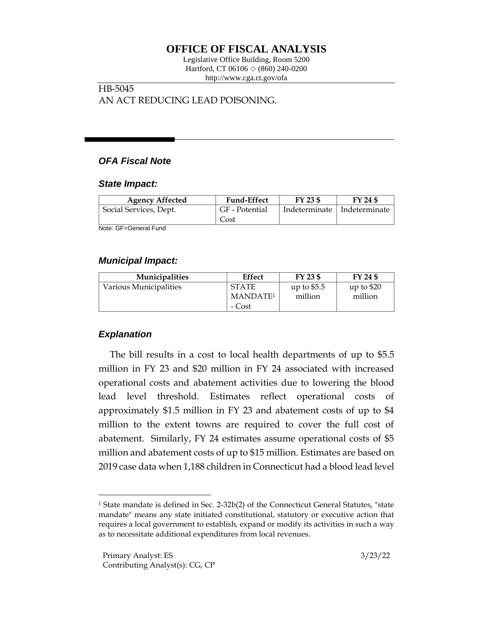# **OFFICE OF FISCAL ANALYSIS**

Legislative Office Building, Room 5200 Hartford, CT 06106  $\Diamond$  (860) 240-0200 http://www.cga.ct.gov/ofa

### HB-5045 AN ACT REDUCING LEAD POISONING.

## *OFA Fiscal Note*

#### *State Impact:*

| <b>Agency Affected</b> | <b>Fund-Effect</b> | FY 23 \$ | FY 24 \$                      |
|------------------------|--------------------|----------|-------------------------------|
| Social Services, Dept. | GF - Potential     |          | Indeterminate   Indeterminate |
|                        | Cost               |          |                               |

Note: GF=General Fund

#### *Municipal Impact:*

| <b>Municipalities</b>  | Effect                                         | $FY$ 23 \$              | FY 24 \$              |
|------------------------|------------------------------------------------|-------------------------|-----------------------|
| Various Municipalities | <b>STATE</b><br>MANDATE <sup>1</sup><br>- Cost | up to $$5.5$<br>million | up to \$20<br>million |

## *Explanation*

The bill results in a cost to local health departments of up to \$5.5 million in FY 23 and \$20 million in FY 24 associated with increased operational costs and abatement activities due to lowering the blood lead level threshold. Estimates reflect operational costs of approximately \$1.5 million in FY 23 and abatement costs of up to \$4 million to the extent towns are required to cover the full cost of abatement. Similarly, FY 24 estimates assume operational costs of \$5 million and abatement costs of up to \$15 million. Estimates are based on 2019 case data when 1,188 children in Connecticut had a blood lead level

<sup>1</sup> State mandate is defined in Sec. 2-32b(2) of the Connecticut General Statutes, "state mandate" means any state initiated constitutional, statutory or executive action that requires a local government to establish, expand or modify its activities in such a way as to necessitate additional expenditures from local revenues.